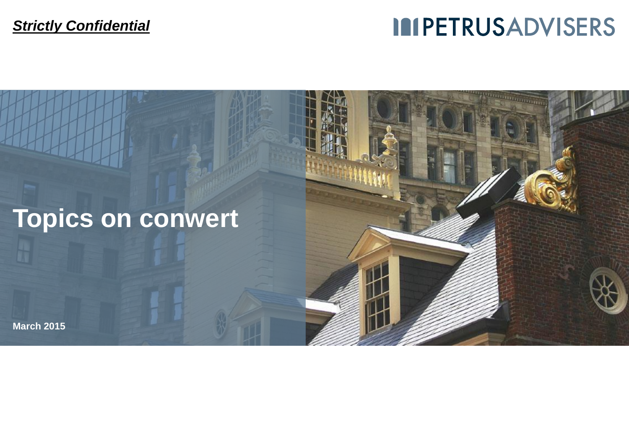## **IMPETRUSADVISERS**

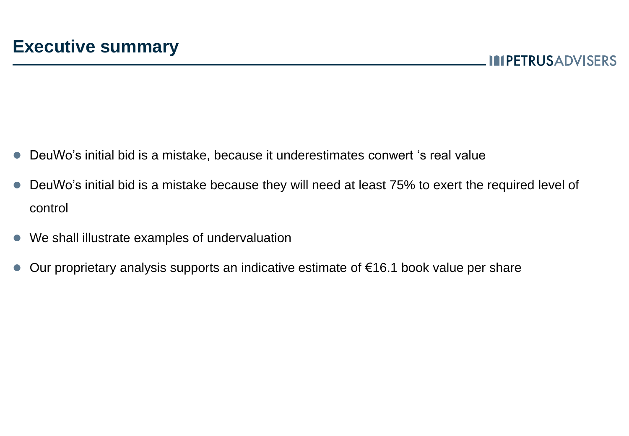- DeuWo's initial bid is a mistake, because it underestimates conwert 's real value
- DeuWo's initial bid is a mistake because they will need at least 75% to exert the required level of control
- We shall illustrate examples of undervaluation
- Our proprietary analysis supports an indicative estimate of €16.1 book value per share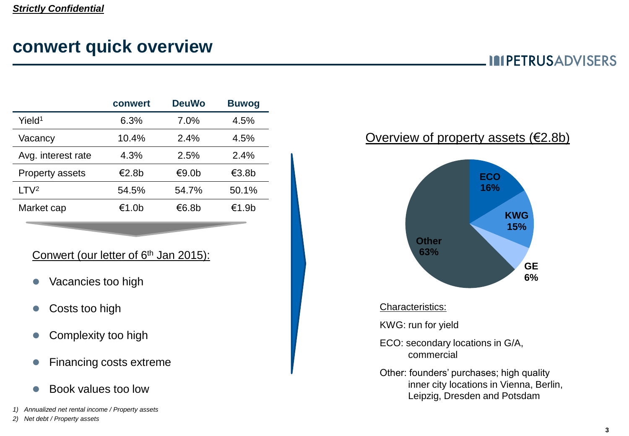### **conwert quick overview**

**IMPETRUSADVISERS** 

|                        | conwert | <b>DeuWo</b> | <b>Buwog</b> |
|------------------------|---------|--------------|--------------|
| Yield <sup>1</sup>     | 6.3%    | 7.0%         | 4.5%         |
| Vacancy                | 10.4%   | 2.4%         | 4.5%         |
| Avg. interest rate     | 4.3%    | 2.5%         | 2.4%         |
| <b>Property assets</b> | €2.8b   | €9.0b        | €3.8b        |
| LTV <sup>2</sup>       | 54.5%   | 54.7%        | 50.1%        |
| Market cap             | €1.0b   | €6.8b        | €1.9b        |

#### Conwert (our letter of 6<sup>th</sup> Jan 2015):

- Vacancies too high
- **Costs too high**
- Complexity too high
- Financing costs extreme
- Book values too low
- *1) Annualized net rental income / Property assets*

#### *2) Net debt / Property assets*

#### Overview of property assets (€2.8b)



#### Characteristics:

KWG: run for yield

- ECO: secondary locations in G/A, commercial
- Other: founders' purchases; high quality inner city locations in Vienna, Berlin, Leipzig, Dresden and Potsdam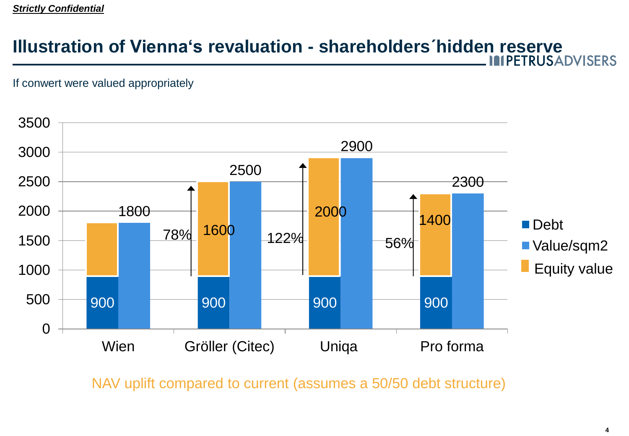#### *Strictly Confidential*

## **Illustration of Vienna's revaluation - shareholders´hidden reserve**

#### If conwert were valued appropriately



NAV uplift compared to current (assumes a 50/50 debt structure)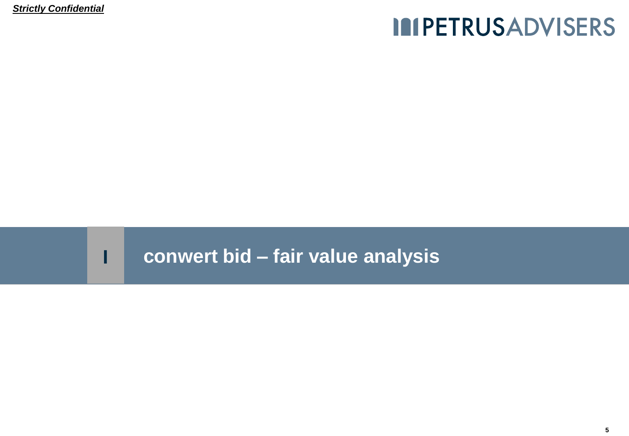*Strictly Confidential*

## **IMPETRUSADVISERS**

### **I conwert bid – fair value analysis**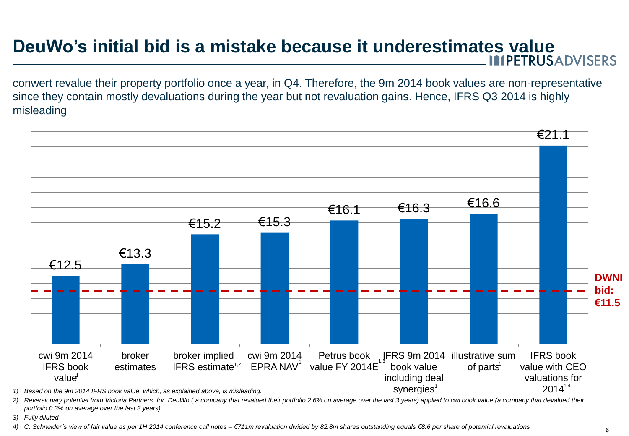## **DeuWo's initial bid is a mistake because it underestimates value**<br> **IMPETRUSADVISERS**

conwert revalue their property portfolio once a year, in Q4. Therefore, the 9m 2014 book values are non-representative since they contain mostly devaluations during the year but not revaluation gains. Hence, IFRS Q3 2014 is highly misleading



2) Reversionary potential from Victoria Partners for DeuWo (a company that revalued their portfolio 2.6% on average over the last 3 years) applied to cwi book value (a company that devalued their *portfolio 0.3% on average over the last 3 years)*

*3) Fully diluted*

*4) C. Schneider´s view of fair value as per 1H 2014 conference call notes – €711m revaluation divided by 82.8m shares outstanding equals €8.6 per share of potential revaluations*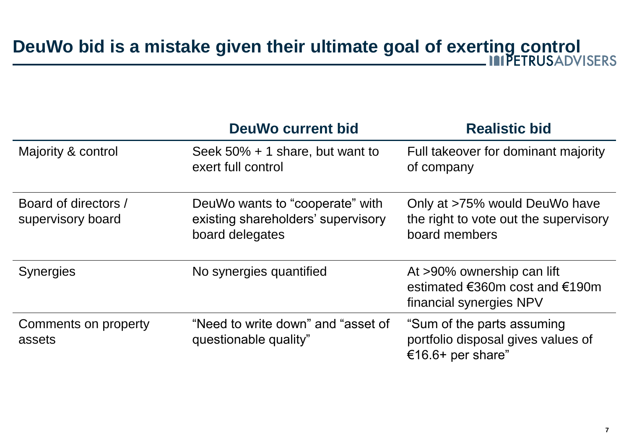# **DeuWo bid is a mistake given their ultimate goal of exerting control**

|                                           | <b>DeuWo current bid</b>                                                                 | <b>Realistic bid</b>                                                                                        |
|-------------------------------------------|------------------------------------------------------------------------------------------|-------------------------------------------------------------------------------------------------------------|
| Majority & control                        | Seek $50\% + 1$ share, but want to<br>exert full control                                 | Full takeover for dominant majority<br>of company                                                           |
| Board of directors /<br>supervisory board | DeuWo wants to "cooperate" with<br>existing shareholders' supervisory<br>board delegates | Only at >75% would DeuWo have<br>the right to vote out the supervisory<br>board members                     |
| <b>Synergies</b>                          | No synergies quantified                                                                  | At >90% ownership can lift<br>estimated $\epsilon$ 360m cost and $\epsilon$ 190m<br>financial synergies NPV |
| Comments on property<br>assets            | "Need to write down" and "asset of<br>questionable quality"                              | "Sum of the parts assuming<br>portfolio disposal gives values of<br>€16.6+ per share"                       |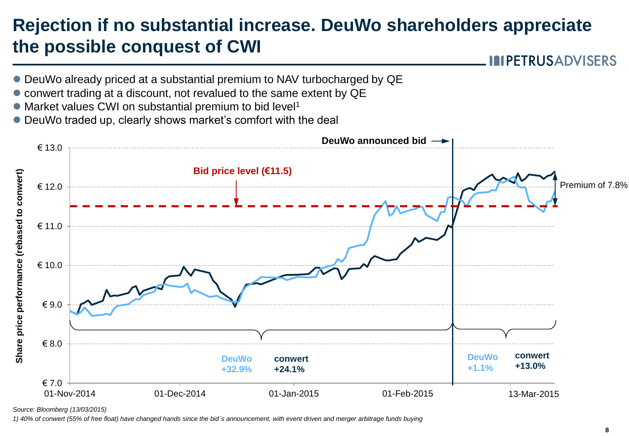### **Rejection if no substantial increase. DeuWo shareholders appreciate the possible conquest of CWI**

**IMPETRUSADVISERS** 

- DeuWo already priced at a substantial premium to NAV turbocharged by QE
- conwert trading at a discount, not revalued to the same extent by QE
- Market values CWI on substantial premium to bid level<sup>1</sup>
- DeuWo traded up, clearly shows market's comfort with the deal



*Source: Bloomberg (13/03/2015)*

*1) 40% of conwert (55% of free float) have changed hands since the bid´s announcement, with event driven and merger arbitrage funds buying*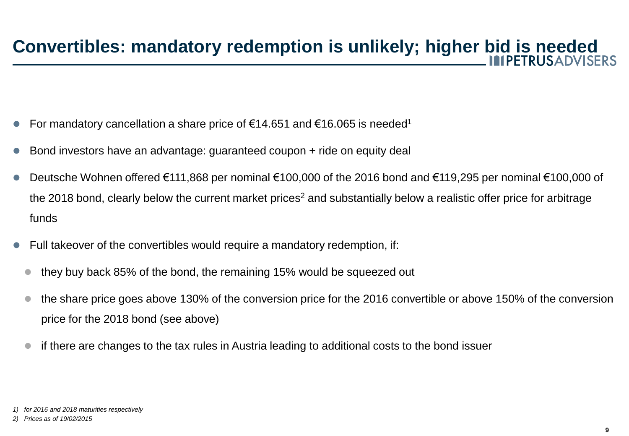- For mandatory cancellation a share price of  $€14.651$  and  $€16.065$  is needed<sup>1</sup>
- Bond investors have an advantage: guaranteed coupon + ride on equity deal
- Deutsche Wohnen offered €111,868 per nominal €100,000 of the 2016 bond and €119,295 per nominal €100,000 of the 2018 bond, clearly below the current market prices<sup>2</sup> and substantially below a realistic offer price for arbitrage funds
- Full takeover of the convertibles would require a mandatory redemption, if:
- they buy back 85% of the bond, the remaining 15% would be squeezed out
- the share price goes above 130% of the conversion price for the 2016 convertible or above 150% of the conversion price for the 2018 bond (see above)
- if there are changes to the tax rules in Austria leading to additional costs to the bond issuer

*<sup>1)</sup> for 2016 and 2018 maturities respectively*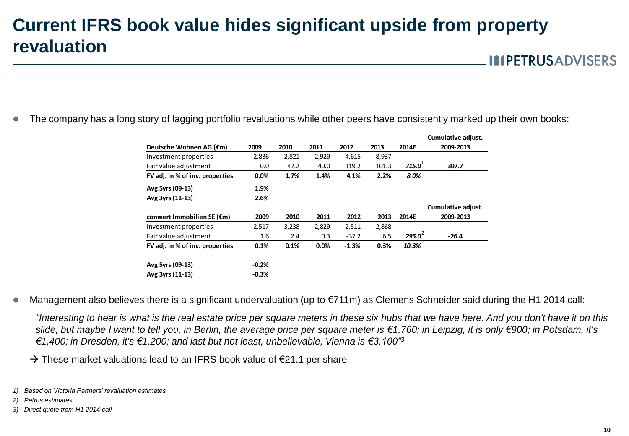### **Current IFRS book value hides significant upside from property revaluation**

**IMPETRUSADVISERS** 

**Cumulative adjust.** 

The company has a long story of lagging portfolio revaluations while other peers have consistently marked up their own books:

|                                 |         |       |       |         |       |           | cumulative adjust. |
|---------------------------------|---------|-------|-------|---------|-------|-----------|--------------------|
| Deutsche Wohnen AG (€m)         | 2009    | 2010  | 2011  | 2012    | 2013  | 2014E     | 2009-2013          |
| Investment properties           | 2,836   | 2,821 | 2,929 | 4,615   | 8,937 |           |                    |
| Fair value adjustment           | 0.0     | 47.2  | 40.0  | 119.2   | 101.3 | 715.0     | 307.7              |
| FV adj. in % of inv. properties | 0.0%    | 1.7%  | 1.4%  | 4.1%    | 2.2%  | 8.0%      |                    |
| Avg 5yrs (09-13)                | 1.9%    |       |       |         |       |           |                    |
| Avg 3yrs (11-13)                | 2.6%    |       |       |         |       |           |                    |
|                                 |         |       |       |         |       |           | Cumulative adjust. |
| conwert Immobilien SE (€m)      | 2009    | 2010  | 2011  | 2012    | 2013  | 2014E     | 2009-2013          |
| Investment properties           | 2,517   | 3,238 | 2,829 | 2,511   | 2,868 |           |                    |
| Fair value adjustment           | 1.6     | 2.4   | 0.3   | $-37.2$ | 6.5   | $295.0^2$ | $-26.4$            |
| FV adj. in % of inv. properties | 0.1%    | 0.1%  | 0.0%  | $-1.3%$ | 0.3%  | 10.3%     |                    |
| Avg 5yrs (09-13)                | $-0.2%$ |       |       |         |       |           |                    |
| Avg 3yrs (11-13)                | $-0.3%$ |       |       |         |       |           |                    |

Management also believes there is a significant undervaluation (up to €711m) as Clemens Schneider said during the H1 2014 call:

*"Interesting to hear is what is the real estate price per square meters in these six hubs that we have here. And you don't have it on this slide, but maybe I want to tell you, in Berlin, the average price per square meter is €1,760; in Leipzig, it is only €900; in Potsdam, it's €1,400; in Dresden, it's €1,200; and last but not least, unbelievable, Vienna is €3,100"<sup>3</sup>*

 $\rightarrow$  These market valuations lead to an IFRS book value of  $\epsilon$ 21.1 per share

- *2) Petrus estimates*
- *3) Direct quote from H1 2014 call*

*<sup>1)</sup> Based on Victoria Partners' revaluation estimates*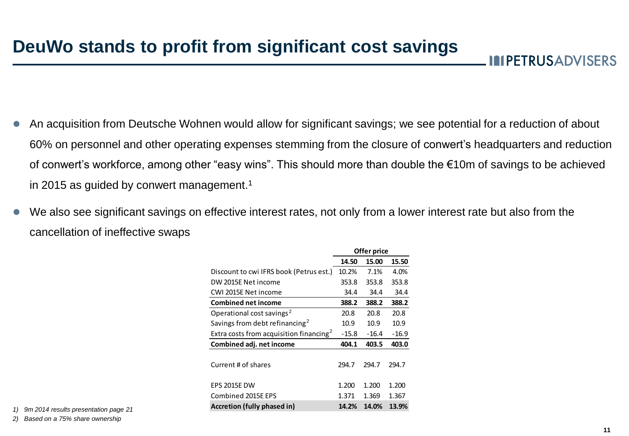**IMPETRUSADVISERS** 

- An acquisition from Deutsche Wohnen would allow for significant savings; we see potential for a reduction of about 60% on personnel and other operating expenses stemming from the closure of conwert's headquarters and reduction of conwert's workforce, among other "easy wins". This should more than double the €10m of savings to be achieved in 2015 as quided by conwert management.<sup>1</sup>
- We also see significant savings on effective interest rates, not only from a lower interest rate but also from the cancellation of ineffective swaps

|                                                     | Offer price |         |         |  |
|-----------------------------------------------------|-------------|---------|---------|--|
|                                                     | 14.50       | 15.00   | 15.50   |  |
| Discount to cwi IFRS book (Petrus est.)             | 10.2%       | 7.1%    | 4.0%    |  |
| DW 2015E Net income                                 | 353.8       | 353.8   | 353.8   |  |
| CWI 2015E Net income                                | 34.4        | 34.4    | 34.4    |  |
| <b>Combined net income</b>                          | 388.2       | 388.2   | 388.2   |  |
| Operational cost savings <sup>2</sup>               | 20.8        | 20.8    | 20.8    |  |
| Savings from debt refinancing <sup>2</sup>          | 10.9        | 10.9    | 10.9    |  |
| Extra costs from acquisition financing <sup>2</sup> | $-15.8$     | $-16.4$ | $-16.9$ |  |
| Combined adj. net income                            | 404.1       | 403.5   | 403.0   |  |
| Current # of shares                                 | 294.7       | 294.7   | 294.7   |  |
| <b>EPS 2015E DW</b>                                 | 1.200       | 1.200   | 1.200   |  |
| Combined 2015E EPS                                  | 1.371       | 1.369   | 1.367   |  |
| Accretion (fully phased in)                         | 14.2%       | 14.0%   | 13.9%   |  |

*1) 9m 2014 results presentation page 21*

*2) Based on a 75% share ownership*